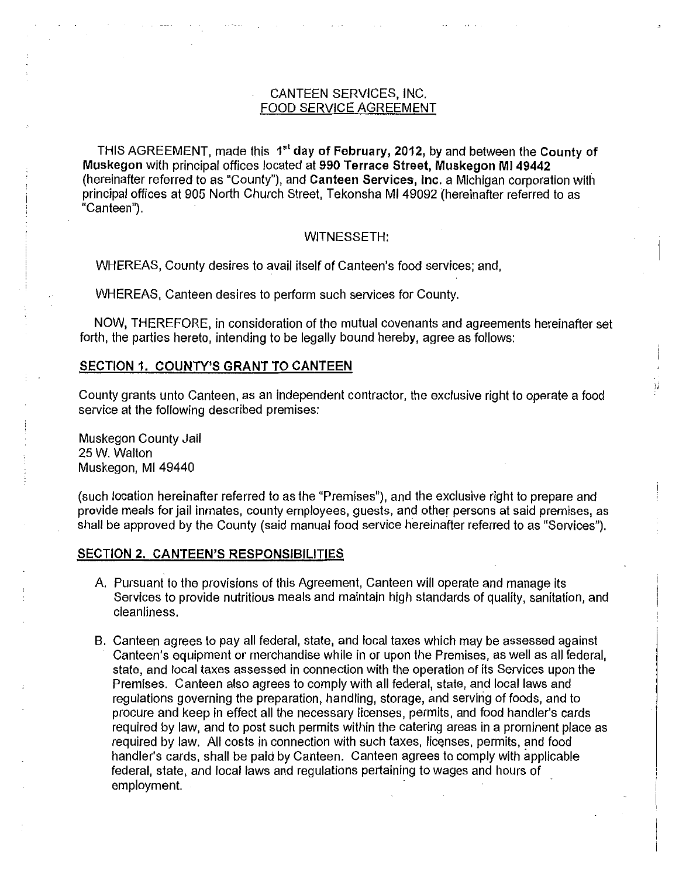# CANTEEN SERVICES, INC. FOOD SERVICE AGREEMENT

THIS AGREEMENT, made this 1<sup>st</sup> day of February, 2012, by and between the County of **Muskegon** with principal offices located at **990 Terrace Street, Muskegon Ml 49442**  (hereinafter referred to as "County"), and **Canteen Services, Inc.** a Michigan corporation with principal offices at 905 North Church Street, Tekonsha Ml 49092 (hereinafter referred to as "Canteen").

#### WITNESSETH:

WHEREAS, County desires to avail itself of Canteen's food services; and,

WHEREAS, Canteen desires to perform such services for County.

NOW, THEREFORE, in consideration of the mutual covenants and agreements hereinafter set forth, the parties hereto, intending to be legally bound hereby, agree as follows:

# **SECTION 1. COUNTY'S GRANT TO CANTEEN**

County grants unto Canteen, as an independent contractor, the exclusive right to operate a food service at the following described premises:

li

Muskegon County Jail 25 W. Walton Muskegon, Ml 49440

(such location hereinafter referred to as the "Premises"), and the exclusive right to prepare and provide meals for jail inmates, county employees, guests, and other persons at said premises, as shall be approved by the County (said manual food service hereinafter referred to as "Services").

#### **SECTION 2. CANTEEN'S RESPONSIBILITIES**

- A. Pursuant to the provisions of this Agreement, Canteen will operate and manage its Services to provide nutritious meals and maintain high standards of quality, sanitation, and cleanliness.
- B. Canteen agrees to pay all federal, state, and local taxes which may be assessed against Canteen's equipment or merchandise while in or upon the Premises, as well as all federal, state, and local taxes assessed in connection with the operation of its Services upon the Premises. Canteen also agrees to comply with all federal, state, and local laws and regulations governing the preparation, handling, storage, and serving of foods, and to procure and keep in effect all the necessary licenses, permits, and food handler's cards required by law, and to post such permits within the catering areas in a prominent place as required by law. All costs in connection with such taxes, licenses, permits, and food handler's cards, shall be paid by Canteen. Canteen agrees to comply with applicable federal, state, and local laws and regulations pertaining to wages and hours of employment.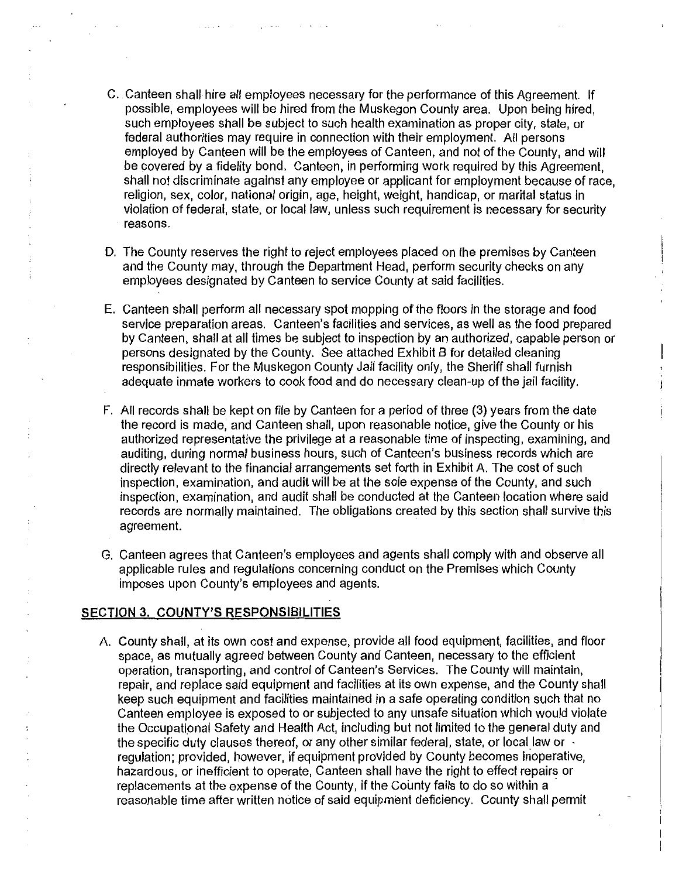- C. Canteen shall hire all employees necessary for the performance of this Agreement. If possible, employees will be hired from the Muskegon County area. Upon being hired, such employees shall be subject to such health examination as proper city, state, or federal authorities may require in connection with their employment. All persons employed by Canteen will be the employees of Canteen, and not of the County, and will be covered by a fidelity bond. Canteen, in performing work required by this Agreement, shall not discriminate against any employee or applicant for employment because of race, religion, sex, color, national origin, age, height, weight, handicap, or marital status In violation of federal, state, or local law, unless such requirement is necessary for security reasons.
- D. The County reserves the right to reject employees placed on the premises by Canteen and the County may, through the Department Head, perform security checks on any employees designated by Canteen to service County at said facilities.
- E. Canteen shall perform all necessary spot mopping of the floors in the storage and food service preparation areas. Canteen's facilities and services, as well as the food prepared by Canteen, shall at all times be subject to inspection by an authorized, capable person or persons designated by the County. See attached Exhibit B for detailed cleaning responsibilities. For the Muskegon County Jail facility only, the Sheriff shall furnish adequate inmate workers to cook food and do necessary clean-up of the jail facility.
- F. All records shall be kept on file by Canteen for a period of three (3) years from the date the record is made, and Canteen shall, upon reasonable notice, give the County or his authorized representative the privilege at a reasonable time of inspecting, examining, and auditing, during normal business hours, such of Canteen's business records which are directly relevant to the financial arrangements set forth in Exhibit A. The cost of such inspection, examination, and audit will be at the sole expense of the County, and such inspection, examination, and audit shall be conducted at the Canteen location where said records are normally maintained. The obligations created by this section shall survive this agreement.
- G. Canteen agrees that Canteen's employees and agents shall comply with and observe all applicable rules and regulations concerning conduct on the Premises which County imposes upon County's employees and agents.

#### **SECTION 3. COUNTY'S RESPONSIBILITIES**

A. County shall, at its own cost and expense, provide all food equipment, facilities, and floor space, as mutually agreed between County and Canteen, necessary to the efficient operation, transporting, and control of Canteen's Services. The County will maintain, repair, and replace said equipment and facilities at its own expense, and the County shall keep such equipment and facilities maintained in a safe operating condition such that no Canteen employee is exposed to or subjected to any unsafe situation which would violate the Occupational Safety and Health Act, including but not limited to the general duty and the specific duty clauses thereof, or any other similar federal, state, or local law or regulation; provided, however, if equipment provided by County becomes inoperative, hazardous, or inefficient to operate, Canteen shall have the right to effect repairs or replacements at the expense of the County, if the County fails to do so within a reasonable time after written notice of said equipment deficiency. County shall permit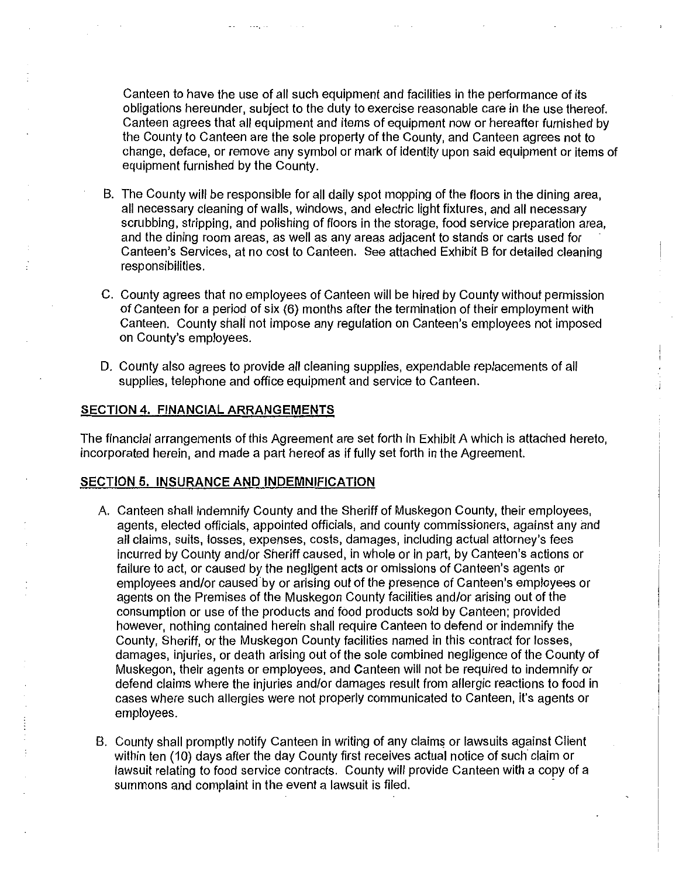Canteen to have the use of all such equipment and facilities in the performance of its obligations hereunder, subject to the duty to exercise reasonable care in the use thereof. Canteen agrees that all equipment and items of equipment now or hereafter furnished by the County to Canteen are the sole property of the County, and Canteen agrees not to change, deface, or remove any symbol or mark of identity upon said equipment or items of equipment furnished by the County.

- B. The County will be responsible for all daily spot mopping of the floors in the dining area, all necessary cleaning of walls, windows, and electric light fixtures, and all necessary scrubbing, stripping, and polishing of floors in the storage, food service preparation area, and the dining room areas, as well as any areas adjacent to stands or carts used for Canteen's Services, at no cost to Canteen. See attached Exhibit B for detailed cleaning responsibilities.
- C. County agrees that no employees of Canteen will be hired by County without permission of Canteen for a period of six (6) months after the termination of their employment with Canteen. County shall not impose any regulation on Canteen's employees not imposed on County's employees.
- D. County also agrees to provide all cleaning supplies, expendable replacements of all supplies, telephone and office equipment and service to Canteen.

#### **SECTION 4. FINANCIAL ARRANGEMENTS**

The financial arrangements of this Agreement are set forth in Exhibit A which is attached hereto, incorporated herein, and made a part hereof as if fully set forth in the Agreement.

#### **SECTION 5. INSURANCE AND INDEMNIFICATION**

- A. Canteen shall indemnify County and the Sheriff of Muskegon County, their employees, agents, elected officials, appointed officials, and county commissioners, against any and all claims, suits, losses, expenses, costs, damages, including actual attorney's fees incurred by County and/or Sheriff caused, in whole or in part, by Canteen's actions or failure to act, or caused by the negligent acts or omissions of Canteen's agents or employees and/or caused by or arising out of the presence of Canteen's employees or agents on the Premises of the Muskegon County facilities and/or arising out of the consumption or use of the products and food products sold by Canteen; provided however, nothing contained herein shall require Canteen to defend or indemnify the County, Sheriff, or the Muskegon County facilities named in this contract for losses, damages, injuries, or death arising out of the sole combined negligence of the County of Muskegon, their agents or employees, and Canteen will not be required to indemnify or defend claims where the injuries and/or damages result from allergic reactions to food in cases where such allergies were not properly communicated to Canteen, it's agents or employees.
- B. County shall promptly notify Canteen in writing of any claims or lawsuits against Client within ten (10) days after the day County first receives actual notice of such claim or lawsuit relating to food service contracts. County will provide Canteen with a copy of a summons and complaint in the event a lawsuit is filed.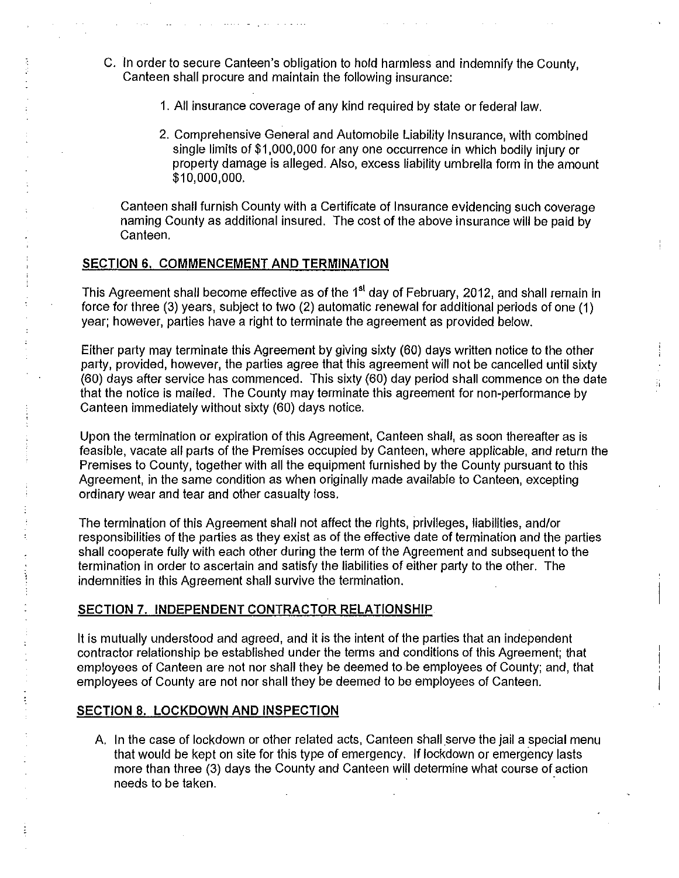- C. In order to secure Canteen's obligation to hold harmless and indemnify the County, Canteen shall procure and maintain the following insurance:
	- 1. All insurance coverage of any kind required by state or federal law.
	- 2. Comprehensive General and Automobile Liability Insurance, with combined single limits of \$1,000,000 for any one occurrence in which bodily injury or property damage is alleged. Also, excess liability umbrella form in the amount \$10,000,000.

Canteen shall furnish County with a Certificate of Insurance evidencing such coverage naming County as additional insured. The cost of the above insurance will be paid by Canteen.

#### **SECTION 6. COMMENCEMENT AND TERMINATION**

This Agreement shall become effective as of the 1<sup>st</sup> day of February, 2012, and shall remain in force for three (3) years, subject to two (2) automatic renewal for additional periods of one (1) year; however, parties have a right to terminate the agreement as provided below.

Either party may terminate this Agreement by giving sixty (60) days written notice to the other party, provided, however, the parties agree that this agreement will not be cancelled until sixty (60) days after service has commenced. This sixty (60) day period shall commence on the date that the notice is mailed. The County may terminate this agreement for non-performance by Canteen immediately without sixty (60) days notice.

Ä

Upon the termination or expiration of this Agreement, Canteen shall, as soon thereafter as is feasible, vacate all parts of the Premises occupied by Canteen, where applicable, and return the Premises to County, together with all the equipment furnished by the County pursuant to this Agreement, in the same condition as when originally made available to Canteen, excepting ordinary wear and tear and other casualty loss.

The termination of this Agreement shall not affect the rights, privileges, liabilities, and/or responsibilities of the parties as they exist as of the effective date of termination and the parties shall cooperate fully with each other during the term of the Agreement and subsequent to the termination in order to ascertain and satisfy the liabilities of either party to the other. The indemnities in this Agreement shall survive the termination.

# **SECTION 7. INDEPENDENT CONTRACTOR RELATIONSHIP**

It is mutually understood and agreed, and it is the intent of the parties that an independent contractor relationship be established under the terms and conditions of this Agreement; that employees of Canteen are not nor shall they be deemed to be employees of County; and, that employees of County are not nor shall they be deemed to be employees of Canteen.

# **SECTION 8. LOCKDOWN AND INSPECTION**

A. In the case of lockdown or other related acts, Canteen shall serve the jail a special menu that would be kept on site for this type of emergency. If lockdown or emergency lasts more than three (3) days the County and Canteen will determine what course of action needs to be taken.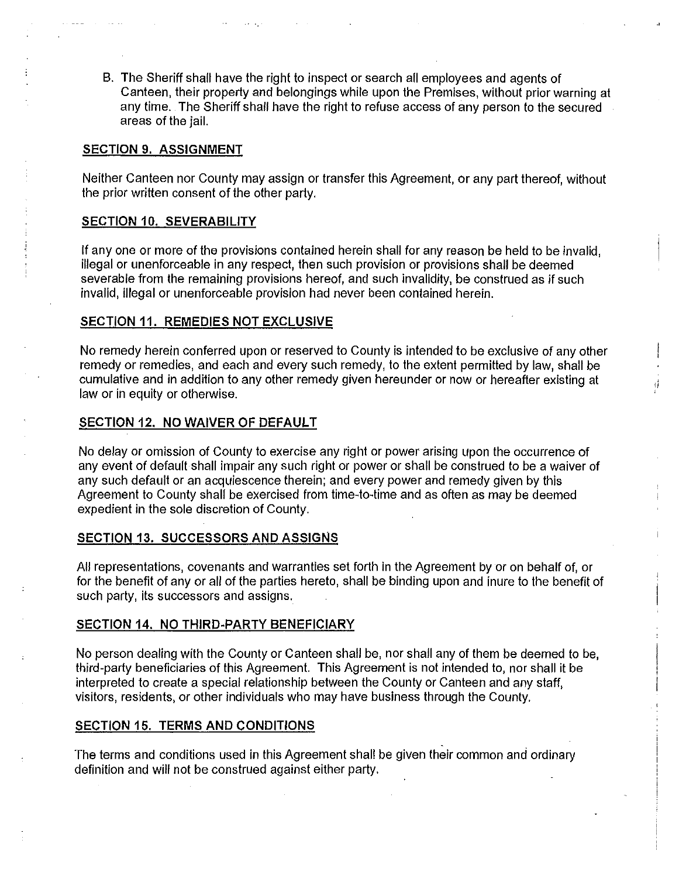B. The Sheriff shall have the right to inspect or search all employees and agents of Canteen, their property and belongings while upon the Premises, without prior warning at any time. The Sheriff shall have the right to refuse access of any person to the secured areas of the jail.

#### **SECTION 9. ASSIGNMENT**

Neither Canteen nor County may assign or transfer this Agreement, or any part thereof, without the prior written consent of the other party.

#### **SECTION** 10. **SEVERABILITY**

If any one or more of the provisions contained herein shall for any reason be held to be invalid, illegal or unenforceable in any respect, then such provision or provisions shall be deemed severable from the remaining provisions hereof, and such invalidity, be construed as if such invalid, illegal or unenforceable provision had never been contained herein.

#### **SECTION 11. REMEDIES NOT EXCLUSIVE**

No remedy herein conferred upon or reserved to County is intended to be exclusive of any other remedy or remedies, and each and every such remedy, to the extent permitted by law, shall be cumulative and in addition to any other remedy given hereunder or now or hereafter existing at law or in equity or otherwise.

ri

#### **SECTION 12. NO WAIVER OF DEFAULT**

No delay or omission of County to exercise any right or power arising upon the occurrence of any event of default shall impair any such right or power or shall be construed to be a waiver of any such default or an acquiescence therein; and every power and remedy given by this Agreement to County shall be exercised from time-to-time and as often as may be deemed expedient in the sole discretion of County.

#### **SECTION 13. SUCCESSORS AND ASSIGNS**

All representations, covenants and warranties set forth in the Agreement by or on behalf of, or for the benefit of any or all of the parties hereto, shall be binding upon and inure to the benefit of such party, its successors and assigns.

# **SECTION 14. NO THIRD-PARTY BENEFICIARY**

No person dealing with the County or Canteen shall be, nor shall any of them be deemed to be, third-party beneficiaries of this Agreement. This Agreement is not intended to, nor shall it be interpreted to create a special relationship between the County or Canteen and any staff, visitors, residents, or other individuals who may have business through the County.

# **SECTION 15. TERMS AND CONDITIONS**

The terms and conditions used in this Agreement shall be given their common and ordinary definition and will not be construed against either party.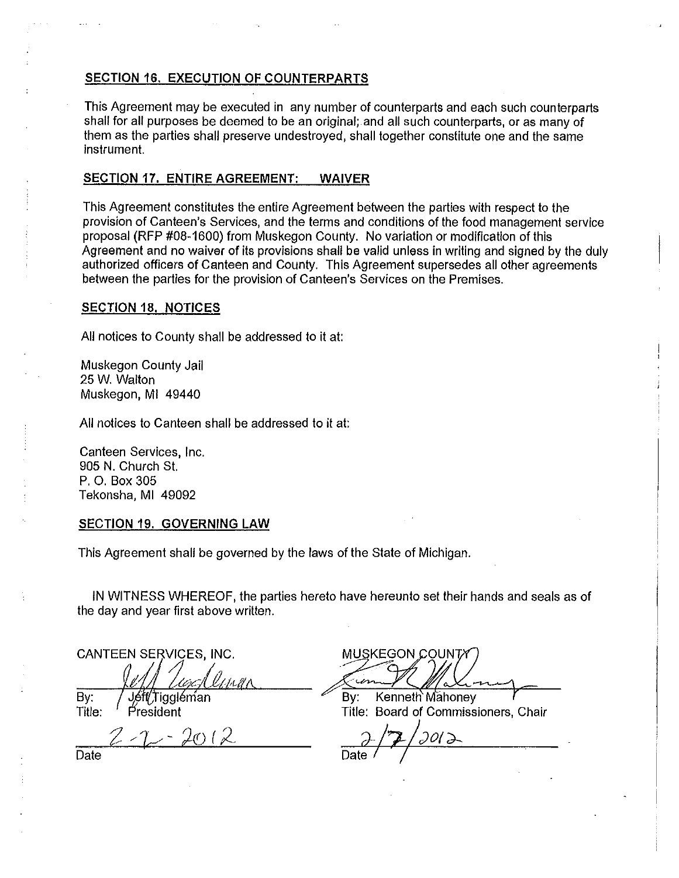# **SECTION** 16. **EXECUTION OF COUNTERPARTS**

This Agreement may be execuled in any number of counterparts and each such counterparts shall for all purposes be deemed to be an original; and all such counterparts, or as many of them as the parties shall preserve undestroyed, shall together constitute one and the same instrument.

#### **SECTION 17. ENTIRE AGREEMENT: WAIVER**

This Agreement constitutes the entire Agreement between the parties with respect to the provision of Canteen's Services, and the terms and conditions of the food management service proposal (RFP #08-1600) from Muskegon County. No variation or modification of this Agreement and no waiver of its provisions shall be valid unless in writing and signed by the duly authorized officers of Canteen and County. This Agreement supersedes all other agreements between the parties for the provision of Canteen's Services on the Premises.

#### **SECTION** 18. **NOTICES**

All notices to County shall be addressed to it at:

Muskegon County Jail 25 W. Walton Muskegon, Ml 49440

All notices to Canteen shall be addressed to it at:

Canteen Services, Inc. 905 N. Church St. P. 0. Box 305 Tekonsha, Ml 49092

#### **SECTION 19. GOVERNING LAW**

This Agreement shall be governed by the laws of the State of Michigan.

IN WITNESS WHEREOF, the parties hereto have hereunto set their hands and seals as of the day and year first above written.

CANTEEN SERVICES, INC.

By: Jéft/Tiggléman

 $= 2\sigma$  (2)

MUSKEGUN COUNTY<br>By: Kenneth Mahoney

Title: President Title: Board of Commissioners, Chair

'J)?;/Jot~ Date */* 

Date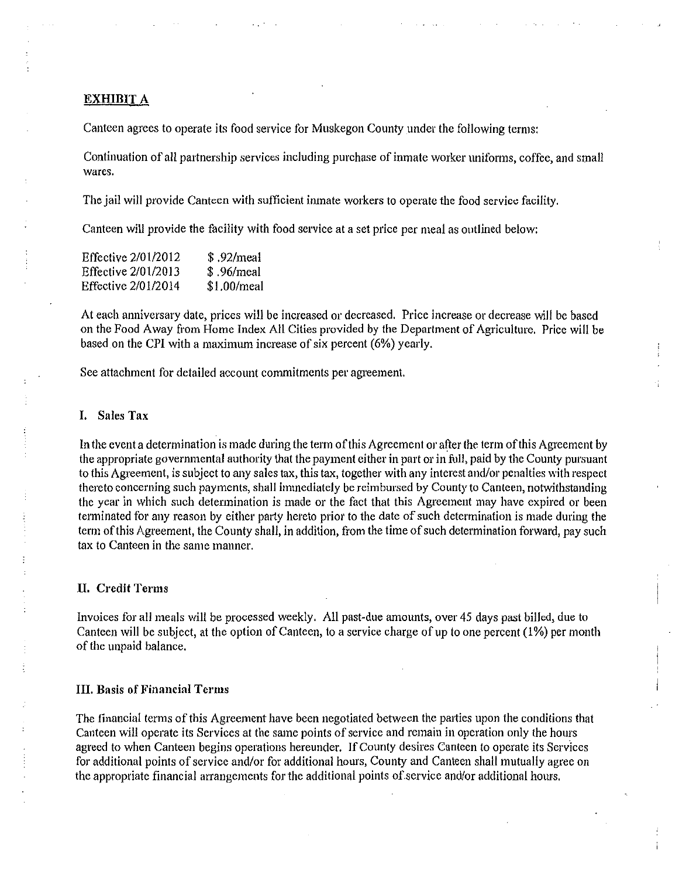#### **EXHIBIT A**

Canteen agrees to operate its food service for Muskegon County under the following terms:

Continuation of all partnership services including purchase of inmate worker uniforms, coffee, and small wares.

The jail will provide Canteen with sufficient inmate workers to operate the food service facility.

Canteen will provide the facility with food service at a set price per meal as outlined below:

| Effective 2/01/2012 | \$.92/meal  |
|---------------------|-------------|
| Effective 2/01/2013 | \$.96/meal  |
| Effective 2/01/2014 | \$1.00/meal |

At each anniversary date, prices will be increased or decreased. Price increase or decrease will be based on the Food Away from Home Index All Cities provided by the Department of Agriculture. Price will be based on the CPI with a maximum increase of six percent (6%) yearly.

See attachment for detailed account commitments per agreement.

#### **I. Sales Tax**

In the event a determination is made during the term of this Agreement or after the term of this Agreement by the appropriate govemmental authority that the payment either in part or in full, paid by the County pursuant to this Agreement, is subject to any sales tax, this tax, together with any interest and/or penalties with respect thereto concerning such payments, shall immediately be reimbursed by County to Canteen, notwithstanding the year in which such determination is made or the fact that this Agreement may have expired or been terminated for any reason by either party hereto prior to the date of such determination is made during the term of this Agreement, the County shall, in addition, from the time of such determination forward, pay such tax to Canteen in the same manner.

#### **II. Credit Terms**

Invoices for all meals will be processed weekly. All past-due amounts, over 45 days past billed, due to Canteen wilJ be subject, at the option of Canteen, to a service charge of up to one percent (I%) per month of the unpaid balance.

#### **III. Basis of Financial Terms**

The financial terms of this Agreement have been negotiated between the pmiies upon the conditions that Canteen will operate its Services at the same points of service and remain in operation only the hours agreed to when Canteen begins operations hereunder. If County desires Canteen to operate its Services for additional points of service and/or for additional hours, County and Canteen shall mutually agree on the appropriate financial arrangements for the additional points of service and/or additional hours.